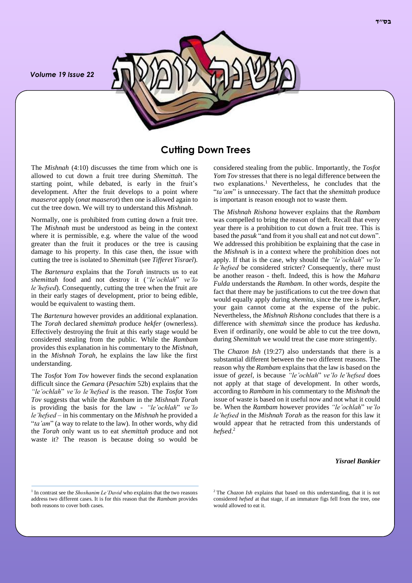*Volume 19 Issue 22*



# **Cutting Down Trees**

The *Mishnah* (4:10) discusses the time from which one is allowed to cut down a fruit tree during *Shemittah*. The starting point, while debated, is early in the fruit's development. After the fruit develops to a point where *maaserot* apply (*onat maaserot*) then one is allowed again to cut the tree down. We will try to understand this *Mishnah*.

Normally, one is prohibited from cutting down a fruit tree. The *Mishnah* must be understood as being in the context where it is permissible, e.g. where the value of the wood greater than the fruit it produces or the tree is causing damage to his property. In this case then, the issue with cutting the tree is isolated to *Shemittah* (see *Tifferet Yisrael*).

The *Bartenura* explains that the *Torah* instructs us to eat *shemittah* food and not destroy it (*"le'ochlah*" *ve'lo le'hefsed*). Consequently, cutting the tree when the fruit are in their early stages of development, prior to being edible, would be equivalent to wasting them.

The *Bartenura* however provides an additional explanation. The *Torah* declared *shemittah* produce *hekfer* (ownerless). Effectively destroying the fruit at this early stage would be considered stealing from the public. While the *Rambam* provides this explanation in his commentary to the *Mishnah*, in the *Mishnah Torah*, he explains the law like the first understanding.

The *Tosfot Yom Tov* however finds the second explanation difficult since the *Gemara* (*Pesachim* 52b) explains that the *"le'ochlah*" *ve'lo le'hefsed* is the reason. The *Tosfot Yom Tov* suggests that while the *Rambam* in the *Mishnah Torah* is providing the basis for the law - *"le'ochlah*" *ve'lo le'hefsed* – in his commentary on the *Mishnah* he provided a "*ta'am*" (a way to relate to the law). In other words, why did the *Torah* only want us to eat *shemittah* produce and not waste it? The reason is because doing so would be considered stealing from the public. Importantly, the *Tosfot Yom Tov* stresses that there is no legal difference between the two explanations.<sup>1</sup> Nevertheless, he concludes that the "*ta'am*" is unnecessary. The fact that the *shemittah* produce is important is reason enough not to waste them.

The *Mishnah Rishona* however explains that the *Rambam* was compelled to bring the reason of theft. Recall that every year there is a prohibition to cut down a fruit tree. This is based the *pasuk* "and from it you shall eat and not cut down". We addressed this prohibition be explaining that the case in the *Mishnah* is in a context where the prohibition does not apply. If that is the case, why should the *"le'ochlah*" *ve'lo le'hefsed* be considered stricter? Consequently, there must be another reason - theft. Indeed, this is how the *Mahara Fulda* understands the *Rambam*. In other words, despite the fact that there may be justifications to cut the tree down that would equally apply during *shemita*, since the tree is *hefker,*  your gain cannot come at the expense of the pubic. Nevertheless, the *Mishnah Rishona* concludes that there is a difference with *shemittah* since the produce has *kedusha*. Even if ordinarily, one would be able to cut the tree down, during *Shemittah* we would treat the case more stringently.

The *Chazon Ish* (19:27) also understands that there is a substantial different between the two different reasons. The reason why the *Rambam* explains that the law is based on the issue of *gezel,* is because *"le'ochlah*" *ve'lo le'hefsed* does not apply at that stage of development. In other words, according to *Rambam* in his commentary to the *Mishnah* the issue of waste is based on it useful now and not what it could be. When the *Rambam* however provides *"le'ochlah*" *ve'lo le'hefsed* in the *Mishnah Torah* as the reason for this law it would appear that he retracted from this understands of *hefsed*. 2

#### *Yisrael Bankier*

<sup>&</sup>lt;sup>1</sup> In contrast see the *Shoshanim Le'David* who explains that the two reasons address two different cases. It is for this reason that the *Rambam* provides both reasons to cover both cases.

<sup>2</sup> The *Chazon Ish* explains that based on this understanding, that it is not considered *hefsed* at that stage, if an immature figs fell from the tree, one would allowed to eat it.